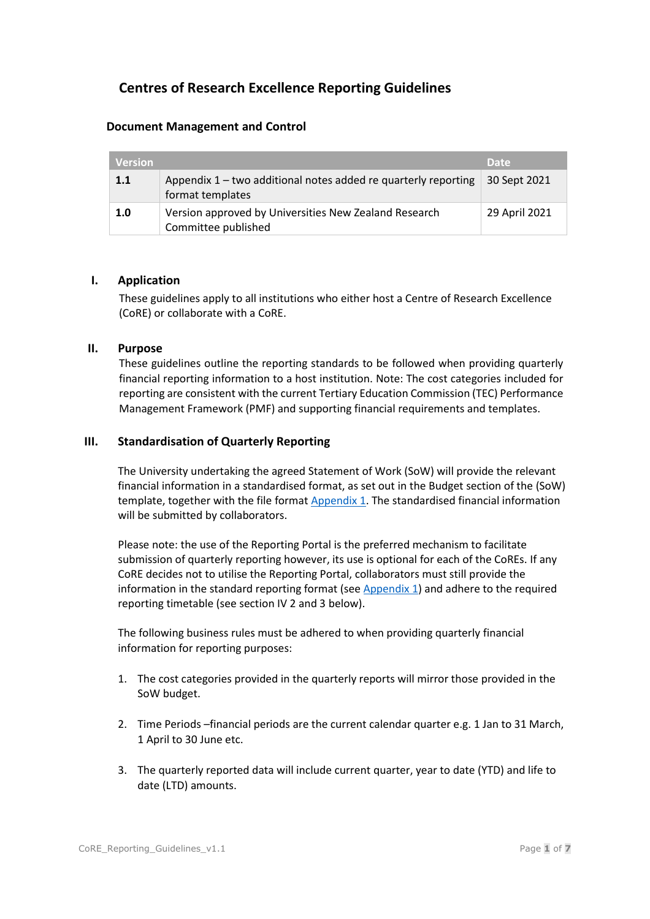# **Centres of Research Excellence Reporting Guidelines**

### **Document Management and Control**

| <b>Version</b> |                                                                                      | <b>Date</b>   |
|----------------|--------------------------------------------------------------------------------------|---------------|
| 1.1            | Appendix $1$ – two additional notes added re quarterly reporting<br>format templates | 30 Sept 2021  |
| 1.0            | Version approved by Universities New Zealand Research<br>Committee published         | 29 April 2021 |

### **I. Application**

These guidelines apply to all institutions who either host a Centre of Research Excellence (CoRE) or collaborate with a CoRE.

### **II. Purpose**

These guidelines outline the reporting standards to be followed when providing quarterly financial reporting information to a host institution. Note: The cost categories included for reporting are consistent with the current Tertiary Education Commission (TEC) Performance Management Framework (PMF) and supporting financial requirements and templates.

### **III. Standardisation of Quarterly Reporting**

The University undertaking the agreed Statement of Work (SoW) will provide the relevant financial information in a standardised format, as set out in the Budget section of the (SoW) template, together with the file forma[t Appendix 1.](#page-4-0) The standardised financial information will be submitted by collaborators.

Please note: the use of the Reporting Portal is the preferred mechanism to facilitate submission of quarterly reporting however, its use is optional for each of the CoREs. If any CoRE decides not to utilise the Reporting Portal, collaborators must still provide the information in the standard reporting format (see  $Appendix 1)$  and adhere to the required reporting timetable (see section IV 2 and 3 below).

The following business rules must be adhered to when providing quarterly financial information for reporting purposes:

- 1. The cost categories provided in the quarterly reports will mirror those provided in the SoW budget.
- 2. Time Periods –financial periods are the current calendar quarter e.g. 1 Jan to 31 March, 1 April to 30 June etc.
- 3. The quarterly reported data will include current quarter, year to date (YTD) and life to date (LTD) amounts.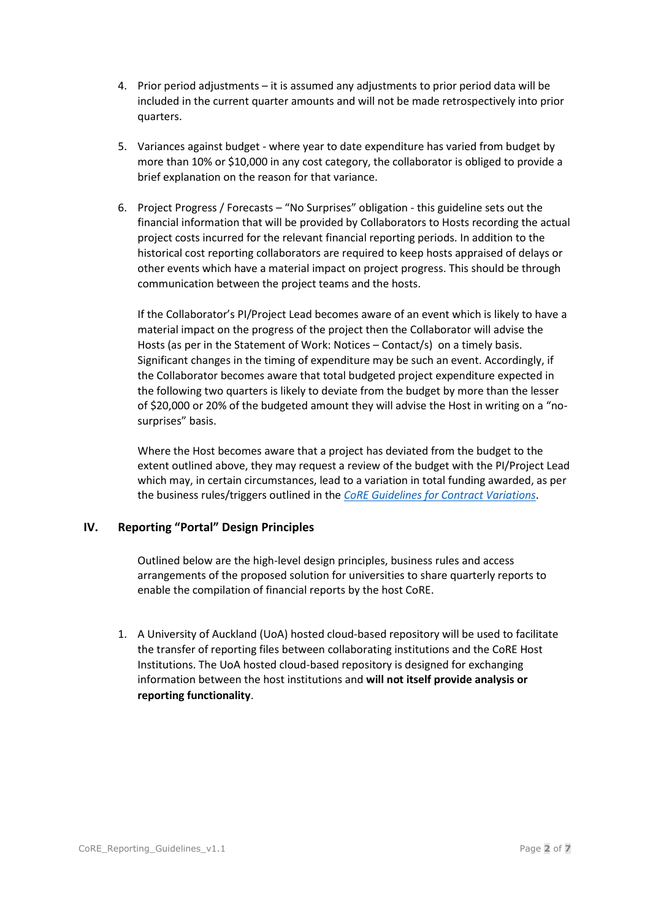- 4. Prior period adjustments it is assumed any adjustments to prior period data will be included in the current quarter amounts and will not be made retrospectively into prior quarters.
- 5. Variances against budget where year to date expenditure has varied from budget by more than 10% or \$10,000 in any cost category, the collaborator is obliged to provide a brief explanation on the reason for that variance.
- 6. Project Progress / Forecasts "No Surprises" obligation this guideline sets out the financial information that will be provided by Collaborators to Hosts recording the actual project costs incurred for the relevant financial reporting periods. In addition to the historical cost reporting collaborators are required to keep hosts appraised of delays or other events which have a material impact on project progress. This should be through communication between the project teams and the hosts.

If the Collaborator's PI/Project Lead becomes aware of an event which is likely to have a material impact on the progress of the project then the Collaborator will advise the Hosts (as per in the Statement of Work: Notices – Contact/s) on a timely basis. Significant changes in the timing of expenditure may be such an event. Accordingly, if the Collaborator becomes aware that total budgeted project expenditure expected in the following two quarters is likely to deviate from the budget by more than the lesser of \$20,000 or 20% of the budgeted amount they will advise the Host in writing on a "nosurprises" basis.

Where the Host becomes aware that a project has deviated from the budget to the extent outlined above, they may request a review of the budget with the PI/Project Lead which may, in certain circumstances, lead to a variation in total funding awarded, as per the business rules/triggers outlined in the *CoRE Guidelines [for Contract Variations](https://cdn.auckland.ac.nz/assets/auckland/research/research-institutes-and-centres/core-contract-variation-guidelines.pdf)*.

## **IV. Reporting "Portal" Design Principles**

Outlined below are the high-level design principles, business rules and access arrangements of the proposed solution for universities to share quarterly reports to enable the compilation of financial reports by the host CoRE.

1. A University of Auckland (UoA) hosted cloud-based repository will be used to facilitate the transfer of reporting files between collaborating institutions and the CoRE Host Institutions. The UoA hosted cloud-based repository is designed for exchanging information between the host institutions and **will not itself provide analysis or reporting functionality**.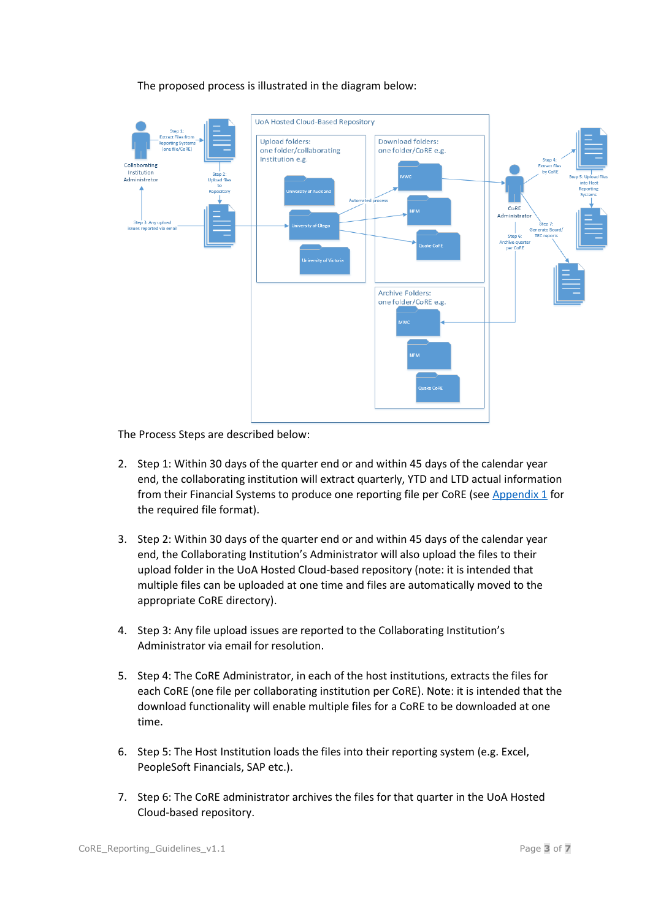

### The proposed process is illustrated in the diagram below:

The Process Steps are described below:

- 2. Step 1: Within 30 days of the quarter end or and within 45 days of the calendar year end, the collaborating institution will extract quarterly, YTD and LTD actual information from their Financial Systems to produce one reporting file per CoRE (see [Appendix 1](#page-4-0) for the required file format).
- 3. Step 2: Within 30 days of the quarter end or and within 45 days of the calendar year end, the Collaborating Institution's Administrator will also upload the files to their upload folder in the UoA Hosted Cloud-based repository (note: it is intended that multiple files can be uploaded at one time and files are automatically moved to the appropriate CoRE directory).
- 4. Step 3: Any file upload issues are reported to the Collaborating Institution's Administrator via email for resolution.
- 5. Step 4: The CoRE Administrator, in each of the host institutions, extracts the files for each CoRE (one file per collaborating institution per CoRE). Note: it is intended that the download functionality will enable multiple files for a CoRE to be downloaded at one time.
- 6. Step 5: The Host Institution loads the files into their reporting system (e.g. Excel, PeopleSoft Financials, SAP etc.).
- 7. Step 6: The CoRE administrator archives the files for that quarter in the UoA Hosted Cloud-based repository.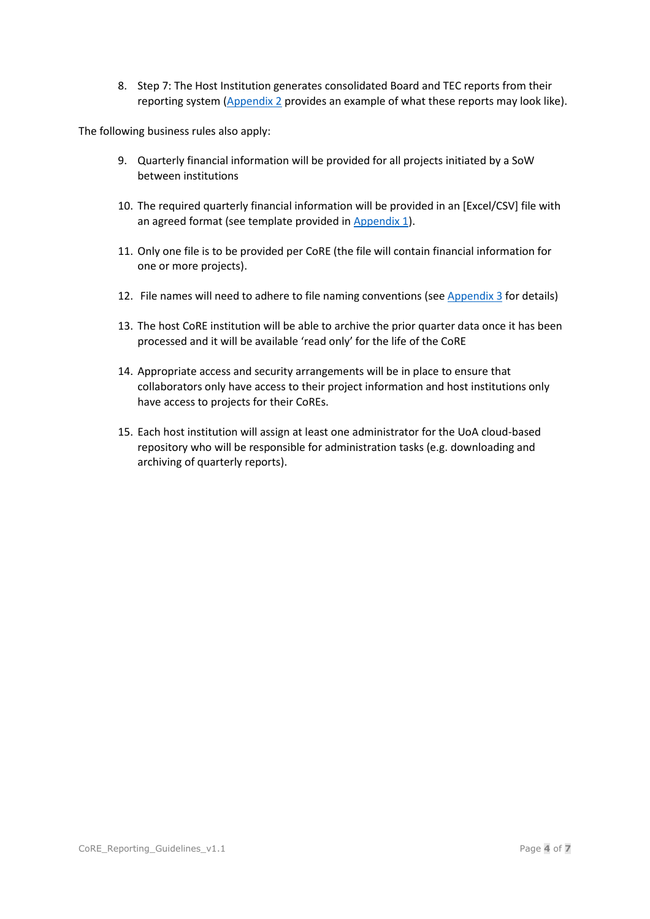8. Step 7: The Host Institution generates consolidated Board and TEC reports from their reporting system [\(Appendix 2](#page-5-0) provides an example of what these reports may look like).

The following business rules also apply:

- 9. Quarterly financial information will be provided for all projects initiated by a SoW between institutions
- 10. The required quarterly financial information will be provided in an [Excel/CSV] file with an agreed format (see template provided i[n Appendix 1\)](#page-4-0).
- 11. Only one file is to be provided per CoRE (the file will contain financial information for one or more projects).
- 12. File names will need to adhere to file naming conventions (see [Appendix 3](#page-6-0) for details)
- 13. The host CoRE institution will be able to archive the prior quarter data once it has been processed and it will be available 'read only' for the life of the CoRE
- 14. Appropriate access and security arrangements will be in place to ensure that collaborators only have access to their project information and host institutions only have access to projects for their CoREs.
- 15. Each host institution will assign at least one administrator for the UoA cloud-based repository who will be responsible for administration tasks (e.g. downloading and archiving of quarterly reports).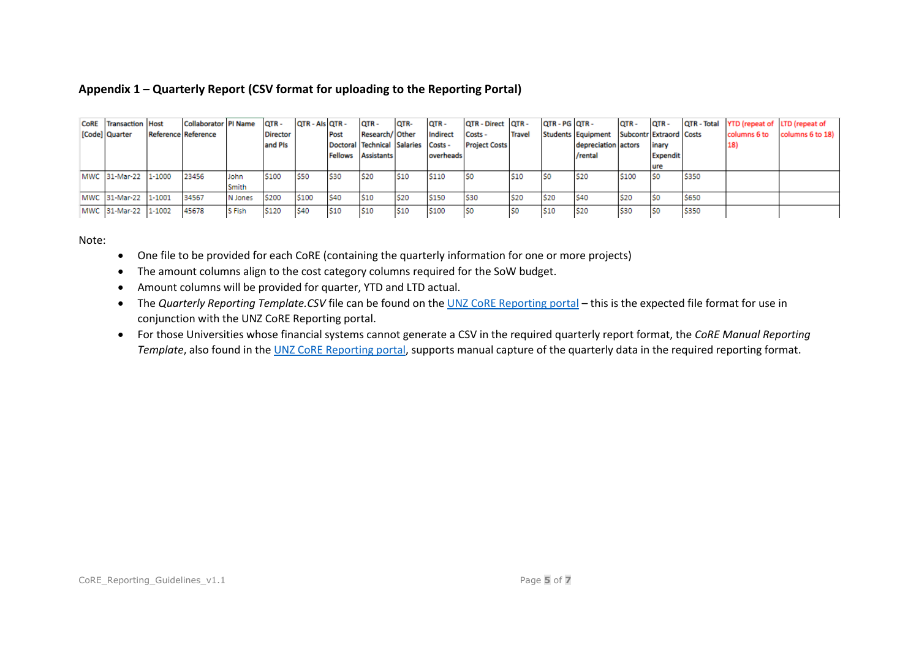## **Appendix 1 – Quarterly Report (CSV format for uploading to the Reporting Portal)**

| <b>CoRE</b> Transaction Host | Collaborator   PI Name   QTR - |         |                 | QTR - Als QTR - |            | OTR-                                | QTR-            | QTR-              | <b>QTR - Direct QTR -</b> |               | QTR - PG QTR -  |                                            | OTR-             | QTR-            |             | QTR - Total YTD (repeat of LTD (repeat of |                  |
|------------------------------|--------------------------------|---------|-----------------|-----------------|------------|-------------------------------------|-----------------|-------------------|---------------------------|---------------|-----------------|--------------------------------------------|------------------|-----------------|-------------|-------------------------------------------|------------------|
| [Code] Quarter               | <b>Reference Reference</b>     |         | <b>Director</b> |                 | Post       | Research/ Other                     |                 | Indirect          | Costs -                   | <b>Travel</b> |                 | Students Equipment Subcontr Extraord Costs |                  |                 |             | columns 6 to                              | columns 6 to 18) |
|                              |                                |         | and Pls         |                 |            | Doctoral Technical Salaries Costs - |                 |                   | <b>Project Costs</b>      |               |                 | depreciation actors                        |                  | inary           |             | 18)                                       |                  |
|                              |                                |         |                 |                 |            | Fellows Assistants                  |                 | <b>loverheads</b> |                           |               |                 | /rental                                    |                  | <b>Expendit</b> |             |                                           |                  |
|                              |                                |         |                 |                 |            |                                     |                 |                   |                           |               |                 |                                            |                  | ure             |             |                                           |                  |
| MWC 31-Mar-22 11-1000        | 23456                          | John    | S100            | <b>S50</b>      | <b>S30</b> | <b>S20</b>                          | 510             | S110              | ISO                       | <b>S10</b>    | S0              | <b>S20</b>                                 | S <sub>100</sub> | IS <sub>0</sub> | \$350       |                                           |                  |
|                              |                                | Smith   |                 |                 |            |                                     |                 |                   |                           |               |                 |                                            |                  |                 |             |                                           |                  |
| MWC 31-Mar-22 1-1001         | 34567                          | N Jones | S200            | \$100           | <b>S40</b> | S <sub>10</sub>                     | S20             | \$150             | <b>S30</b>                | <b>S20</b>    | \$20            | <b>S40</b>                                 | <b>S20</b>       | l SO            | <b>S650</b> |                                           |                  |
| MWC 31-Mar-22 1-1002         | 45678                          | S Fish  | S120            | S40             | <b>S10</b> | S <sub>10</sub>                     | S <sub>10</sub> | S100              | ISO                       | lS0           | S <sub>10</sub> | <b>S20</b>                                 | <b>S30</b>       | ISO.            | <b>S350</b> |                                           |                  |

#### Note:

- One file to be provided for each CoRE (containing the quarterly information for one or more projects)
- The amount columns align to the cost category columns required for the SoW budget.
- Amount columns will be provided for quarter, YTD and LTD actual.
- The *Quarterly Reporting Template.CSV* file can be found on th[e UNZ CoRE Reporting portal](https://uoa.sharepoint.com/sites/UNZCoREReporting/Shared%20Documents/Forms/AllItems.aspx) this is the expected file format for use in conjunction with the UNZ CoRE Reporting portal.
- <span id="page-4-0"></span>• For those Universities whose financial systems cannot generate a CSV in the required quarterly report format, the *CoRE Manual Reporting Template*, also found in the [UNZ CoRE Reporting portal,](https://uoa.sharepoint.com/sites/UNZCoREReporting/Shared%20Documents/Forms/AllItems.aspx) supports manual capture of the quarterly data in the required reporting format.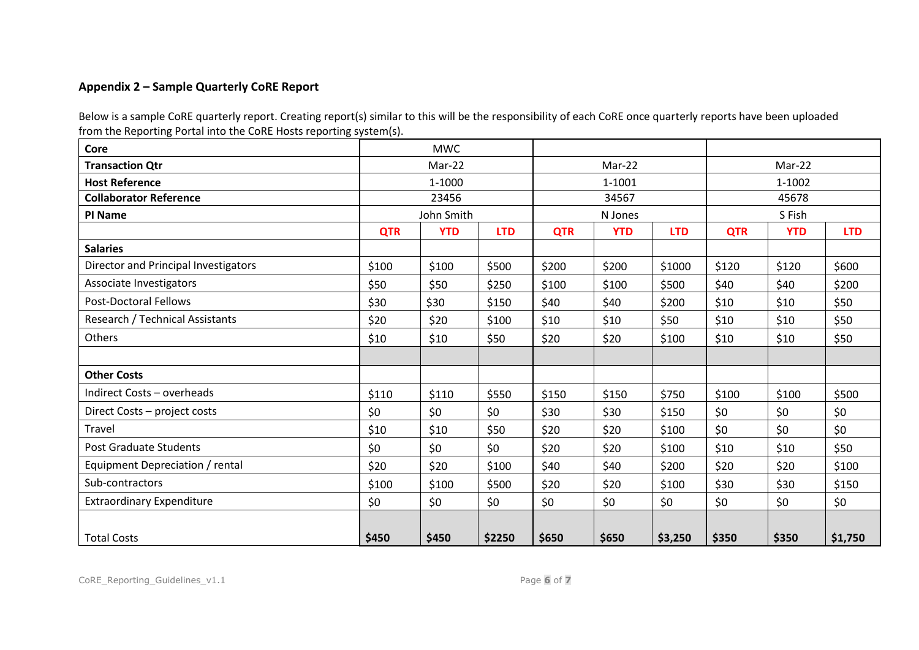# **Appendix 2 – Sample Quarterly CoRE Report**

Below is a sample CoRE quarterly report. Creating report(s) similar to this will be the responsibility of each CoRE once quarterly reports have been uploaded from the Reporting Portal into the CoRE Hosts reporting system(s).

<span id="page-5-0"></span>

| Core                                 |            | <b>MWC</b> |            |            |            |            |            |            |            |
|--------------------------------------|------------|------------|------------|------------|------------|------------|------------|------------|------------|
| <b>Transaction Qtr</b>               |            | Mar-22     |            |            | Mar-22     |            | Mar-22     |            |            |
| <b>Host Reference</b>                | 1-1000     |            |            |            | 1-1001     |            | 1-1002     |            |            |
| <b>Collaborator Reference</b>        | 23456      |            |            | 34567      |            |            | 45678      |            |            |
| <b>PI Name</b>                       |            | John Smith |            |            | N Jones    |            | S Fish     |            |            |
|                                      | <b>QTR</b> | <b>YTD</b> | <b>LTD</b> | <b>QTR</b> | <b>YTD</b> | <b>LTD</b> | <b>QTR</b> | <b>YTD</b> | <b>LTD</b> |
| <b>Salaries</b>                      |            |            |            |            |            |            |            |            |            |
| Director and Principal Investigators | \$100      | \$100      | \$500      | \$200      | \$200      | \$1000     | \$120      | \$120      | \$600      |
| Associate Investigators              | \$50       | \$50       | \$250      | \$100      | \$100      | \$500      | \$40       | \$40       | \$200      |
| <b>Post-Doctoral Fellows</b>         | \$30       | \$30       | \$150      | \$40       | \$40       | \$200      | \$10       | \$10       | \$50       |
| Research / Technical Assistants      | \$20       | \$20       | \$100      | \$10       | \$10       | \$50       | \$10       | \$10       | \$50       |
| Others                               | \$10       | \$10       | \$50       | \$20       | \$20       | \$100      | \$10       | \$10       | \$50       |
|                                      |            |            |            |            |            |            |            |            |            |
| <b>Other Costs</b>                   |            |            |            |            |            |            |            |            |            |
| Indirect Costs - overheads           | \$110      | \$110      | \$550      | \$150      | \$150      | \$750      | \$100      | \$100      | \$500      |
| Direct Costs - project costs         | \$0        | \$0        | \$0        | \$30       | \$30       | \$150      | \$0        | \$0        | \$0        |
| Travel                               | \$10       | \$10       | \$50       | \$20       | \$20       | \$100      | \$0        | \$0        | \$0\$      |
| <b>Post Graduate Students</b>        | \$0        | \$0        | \$0        | \$20       | \$20       | \$100      | \$10       | \$10       | \$50       |
| Equipment Depreciation / rental      | \$20       | \$20       | \$100      | \$40       | \$40       | \$200      | \$20       | \$20       | \$100      |
| Sub-contractors                      | \$100      | \$100      | \$500      | \$20       | \$20       | \$100      | \$30       | \$30       | \$150      |
| <b>Extraordinary Expenditure</b>     | \$0        | \$0        | \$0        | \$0        | \$0        | \$0        | \$0        | \$0\$      | \$0        |
| <b>Total Costs</b>                   | \$450      | \$450      | \$2250     | \$650      | \$650      | \$3,250    | \$350      | \$350      | \$1,750    |